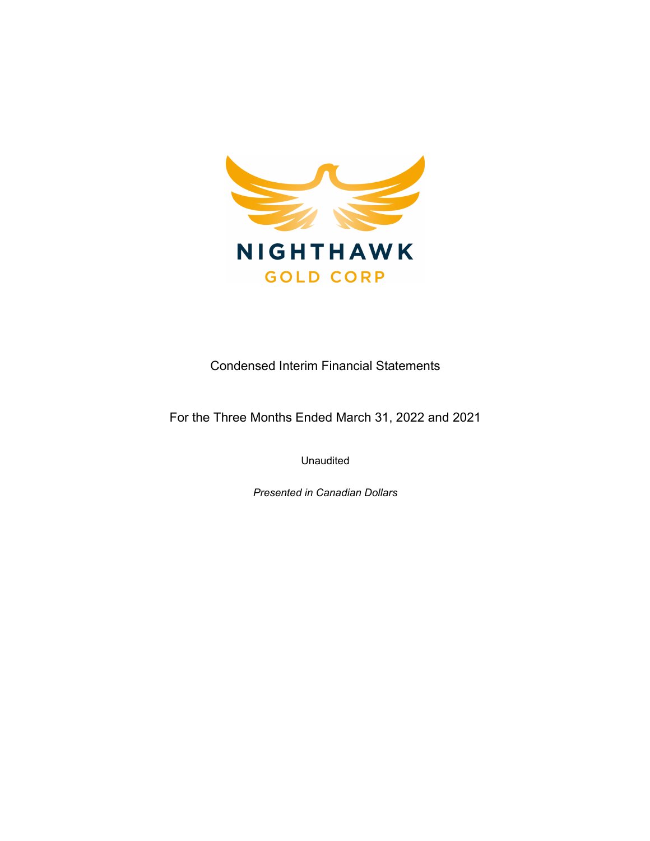

Condensed Interim Financial Statements

For the Three Months Ended March 31, 2022 and 2021

Unaudited

*Presented in Canadian Dollars*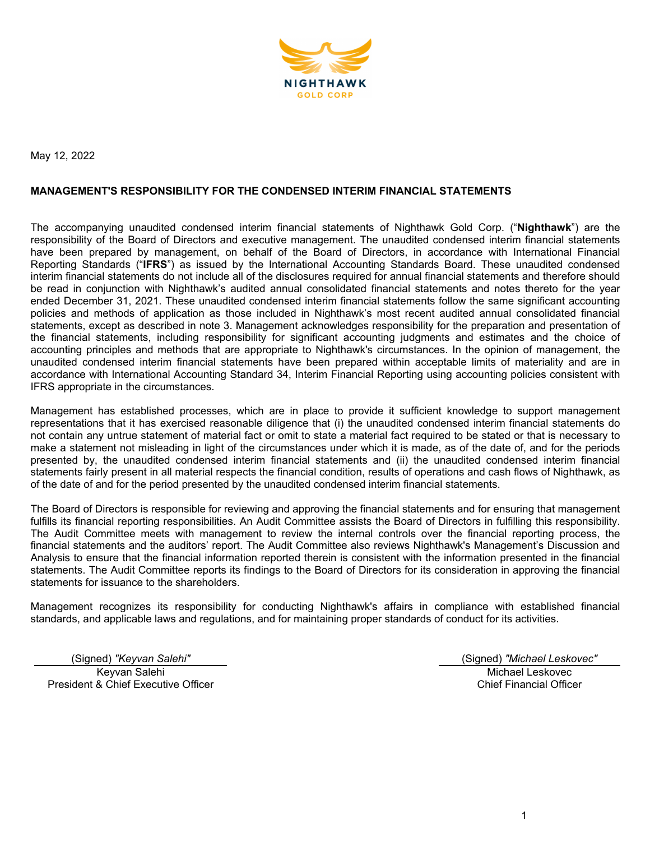

May 12, 2022

#### **MANAGEMENT'S RESPONSIBILITY FOR THE CONDENSED INTERIM FINANCIAL STATEMENTS**

The accompanying unaudited condensed interim financial statements of Nighthawk Gold Corp. ("**Nighthawk**") are the responsibility of the Board of Directors and executive management. The unaudited condensed interim financial statements have been prepared by management, on behalf of the Board of Directors, in accordance with International Financial Reporting Standards ("**IFRS**") as issued by the International Accounting Standards Board. These unaudited condensed interim financial statements do not include all of the disclosures required for annual financial statements and therefore should be read in conjunction with Nighthawk's audited annual consolidated financial statements and notes thereto for the year ended December 31, 2021. These unaudited condensed interim financial statements follow the same significant accounting policies and methods of application as those included in Nighthawk's most recent audited annual consolidated financial statements, except as described in note 3. Management acknowledges responsibility for the preparation and presentation of the financial statements, including responsibility for significant accounting judgments and estimates and the choice of accounting principles and methods that are appropriate to Nighthawk's circumstances. In the opinion of management, the unaudited condensed interim financial statements have been prepared within acceptable limits of materiality and are in accordance with International Accounting Standard 34, Interim Financial Reporting using accounting policies consistent with IFRS appropriate in the circumstances.

Management has established processes, which are in place to provide it sufficient knowledge to support management representations that it has exercised reasonable diligence that (i) the unaudited condensed interim financial statements do not contain any untrue statement of material fact or omit to state a material fact required to be stated or that is necessary to make a statement not misleading in light of the circumstances under which it is made, as of the date of, and for the periods presented by, the unaudited condensed interim financial statements and (ii) the unaudited condensed interim financial statements fairly present in all material respects the financial condition, results of operations and cash flows of Nighthawk, as of the date of and for the period presented by the unaudited condensed interim financial statements.

The Board of Directors is responsible for reviewing and approving the financial statements and for ensuring that management fulfills its financial reporting responsibilities. An Audit Committee assists the Board of Directors in fulfilling this responsibility. The Audit Committee meets with management to review the internal controls over the financial reporting process, the financial statements and the auditors' report. The Audit Committee also reviews Nighthawk's Management's Discussion and Analysis to ensure that the financial information reported therein is consistent with the information presented in the financial statements. The Audit Committee reports its findings to the Board of Directors for its consideration in approving the financial statements for issuance to the shareholders.

Management recognizes its responsibility for conducting Nighthawk's affairs in compliance with established financial standards, and applicable laws and regulations, and for maintaining proper standards of conduct for its activities.

Keyvan Salehi President & Chief Executive Officer

(Signed) *"Keyvan Salehi"* (Signed) *"Michael Leskovec"*

Michael Leskovec Chief Financial Officer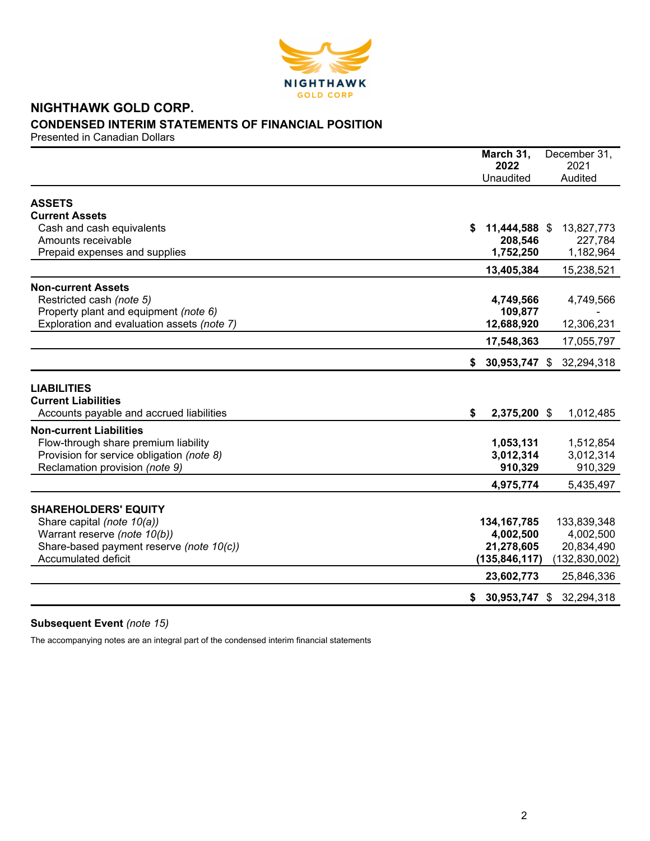

# **NIGHTHAWK GOLD CORP. CONDENSED INTERIM STATEMENTS OF FINANCIAL POSITION**

Presented in Canadian Dollars

|                                                                        | March 31,<br>2022   | December 31,<br>2021     |
|------------------------------------------------------------------------|---------------------|--------------------------|
|                                                                        | Unaudited           | Audited                  |
| <b>ASSETS</b>                                                          |                     |                          |
| <b>Current Assets</b>                                                  |                     |                          |
| Cash and cash equivalents                                              | \$<br>11,444,588 \$ | 13,827,773               |
| Amounts receivable                                                     | 208,546             | 227,784                  |
| Prepaid expenses and supplies                                          | 1,752,250           | 1,182,964                |
|                                                                        | 13,405,384          | 15,238,521               |
| <b>Non-current Assets</b>                                              |                     |                          |
| Restricted cash (note 5)                                               | 4,749,566           | 4,749,566                |
| Property plant and equipment (note 6)                                  | 109,877             |                          |
| Exploration and evaluation assets (note 7)                             | 12,688,920          | 12,306,231               |
|                                                                        | 17,548,363          | 17,055,797               |
|                                                                        | \$                  | 30,953,747 \$ 32,294,318 |
| <b>LIABILITIES</b>                                                     |                     |                          |
| <b>Current Liabilities</b>                                             |                     |                          |
| Accounts payable and accrued liabilities                               | \$<br>2,375,200 \$  | 1,012,485                |
|                                                                        |                     |                          |
| <b>Non-current Liabilities</b><br>Flow-through share premium liability | 1,053,131           | 1,512,854                |
| Provision for service obligation (note 8)                              | 3,012,314           | 3,012,314                |
| Reclamation provision (note 9)                                         | 910,329             | 910,329                  |
|                                                                        | 4,975,774           | 5,435,497                |
|                                                                        |                     |                          |
| <b>SHAREHOLDERS' EQUITY</b>                                            |                     |                          |
| Share capital (note 10(a))                                             | 134, 167, 785       | 133,839,348              |
| Warrant reserve (note 10(b))                                           | 4,002,500           | 4,002,500                |
| Share-based payment reserve (note 10(c))                               | 21,278,605          | 20,834,490               |
| <b>Accumulated deficit</b>                                             | (135, 846, 117)     | (132, 830, 002)          |
|                                                                        | 23,602,773          | 25,846,336               |
|                                                                        | 30,953,747 \$<br>\$ | 32,294,318               |

# **Subsequent Event** *(note 15)*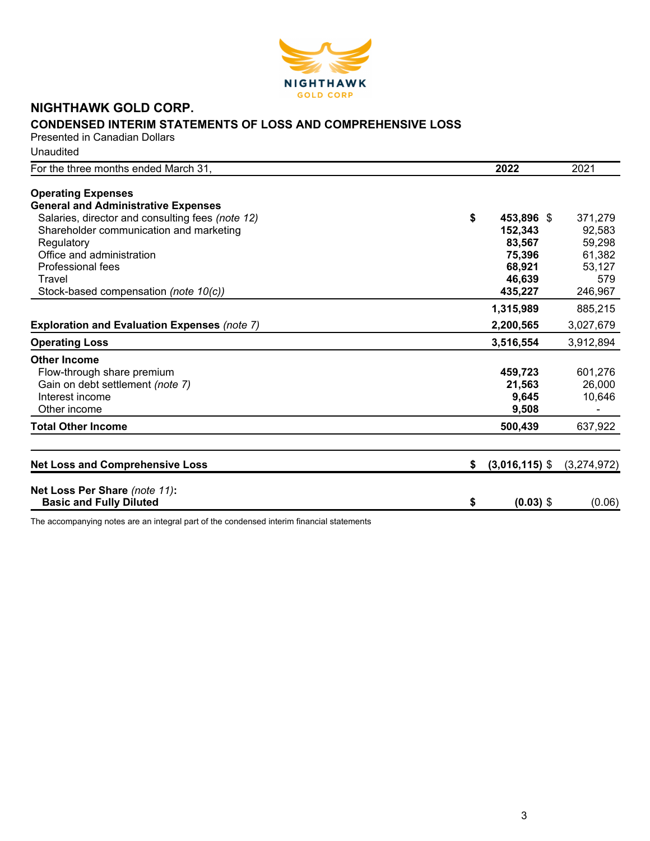

# **NIGHTHAWK GOLD CORP.**

# **CONDENSED INTERIM STATEMENTS OF LOSS AND COMPREHENSIVE LOSS**

Presented in Canadian Dollars Unaudited

| For the three months ended March 31,                | 2022                   | 2021        |
|-----------------------------------------------------|------------------------|-------------|
|                                                     |                        |             |
| <b>Operating Expenses</b>                           |                        |             |
| <b>General and Administrative Expenses</b>          |                        |             |
| Salaries, director and consulting fees (note 12)    | \$<br>453,896 \$       | 371,279     |
| Shareholder communication and marketing             | 152,343                | 92,583      |
| Regulatory                                          | 83,567                 | 59,298      |
| Office and administration                           | 75,396                 | 61,382      |
| Professional fees                                   | 68,921                 | 53,127      |
| Travel                                              | 46,639                 | 579         |
| Stock-based compensation (note 10(c))               | 435,227                | 246,967     |
|                                                     | 1,315,989              | 885,215     |
| <b>Exploration and Evaluation Expenses (note 7)</b> | 2,200,565              | 3,027,679   |
| <b>Operating Loss</b>                               | 3,516,554              | 3,912,894   |
| <b>Other Income</b>                                 |                        |             |
| Flow-through share premium                          | 459,723                | 601,276     |
| Gain on debt settlement (note 7)                    | 21,563                 | 26,000      |
| Interest income                                     | 9,645                  | 10,646      |
| Other income                                        | 9,508                  |             |
| <b>Total Other Income</b>                           | 500,439                | 637,922     |
|                                                     |                        |             |
| <b>Net Loss and Comprehensive Loss</b>              | \$<br>$(3,016,115)$ \$ | (3,274,972) |
| Net Loss Per Share (note 11):                       |                        |             |
| <b>Basic and Fully Diluted</b>                      | \$<br>$(0.03)$ \$      | (0.06)      |
|                                                     |                        |             |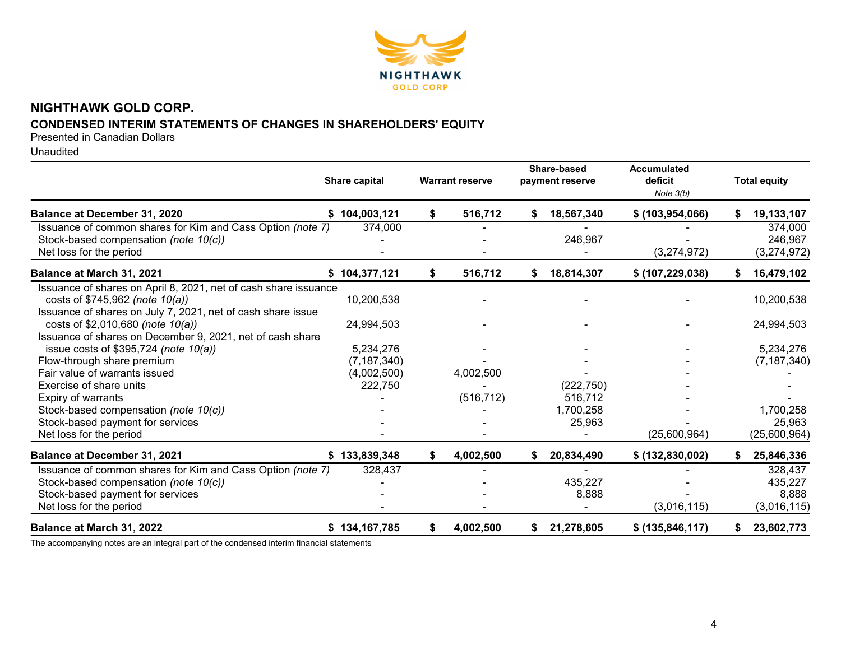

# **NIGHTHAWK GOLD CORP. CONDENSED INTERIM STATEMENTS OF CHANGES IN SHAREHOLDERS' EQUITY**

Presented in Canadian Dollars

Unaudited

|                                                                 | Share capital |    | <b>Warrant reserve</b> |    | Share-based<br>payment reserve | <b>Accumulated</b><br>deficit<br>Note $3(b)$ | <b>Total equity</b> |
|-----------------------------------------------------------------|---------------|----|------------------------|----|--------------------------------|----------------------------------------------|---------------------|
| Balance at December 31, 2020                                    | \$104,003,121 | \$ | 516,712                | S. | 18,567,340                     | \$ (103, 954, 066)                           | 19,133,107          |
| Issuance of common shares for Kim and Cass Option (note 7)      | 374,000       |    |                        |    |                                |                                              | 374,000             |
| Stock-based compensation (note 10(c))                           |               |    |                        |    | 246,967                        |                                              | 246,967             |
| Net loss for the period                                         |               |    |                        |    |                                | (3,274,972)                                  | (3,274,972)         |
| Balance at March 31, 2021                                       | \$104,377,121 | \$ | 516,712                | S. | 18,814,307                     | \$ (107, 229, 038)                           | 16,479,102          |
| Issuance of shares on April 8, 2021, net of cash share issuance |               |    |                        |    |                                |                                              |                     |
| costs of \$745,962 (note 10(a))                                 | 10,200,538    |    |                        |    |                                |                                              | 10,200,538          |
| Issuance of shares on July 7, 2021, net of cash share issue     |               |    |                        |    |                                |                                              |                     |
| costs of \$2,010,680 (note 10(a))                               | 24,994,503    |    |                        |    |                                |                                              | 24,994,503          |
| Issuance of shares on December 9, 2021, net of cash share       |               |    |                        |    |                                |                                              |                     |
| issue costs of \$395,724 (note 10(a))                           | 5,234,276     |    |                        |    |                                |                                              | 5,234,276           |
| Flow-through share premium                                      | (7, 187, 340) |    |                        |    |                                |                                              | (7, 187, 340)       |
| Fair value of warrants issued                                   | (4,002,500)   |    | 4,002,500              |    |                                |                                              |                     |
| Exercise of share units                                         | 222,750       |    |                        |    | (222, 750)                     |                                              |                     |
| Expiry of warrants                                              |               |    | (516, 712)             |    | 516,712                        |                                              |                     |
| Stock-based compensation (note 10(c))                           |               |    |                        |    | 1,700,258                      |                                              | 1,700,258           |
| Stock-based payment for services                                |               |    |                        |    | 25,963                         |                                              | 25,963              |
| Net loss for the period                                         |               |    |                        |    |                                | (25,600,964)                                 | (25,600,964)        |
| <b>Balance at December 31, 2021</b>                             | \$133,839,348 | S. | 4,002,500              |    | 20,834,490                     | \$ (132,830,002)                             | 25,846,336          |
| Issuance of common shares for Kim and Cass Option (note 7)      | 328,437       |    |                        |    |                                |                                              | 328,437             |
| Stock-based compensation (note 10(c))                           |               |    |                        |    | 435,227                        |                                              | 435,227             |
| Stock-based payment for services                                |               |    |                        |    | 8,888                          |                                              | 8,888               |
| Net loss for the period                                         |               |    |                        |    |                                | (3,016,115)                                  | (3,016,115)         |
| Balance at March 31, 2022                                       | \$134,167,785 | S  | 4,002,500              | S. | 21,278,605                     | \$ (135, 846, 117)                           | 23,602,773          |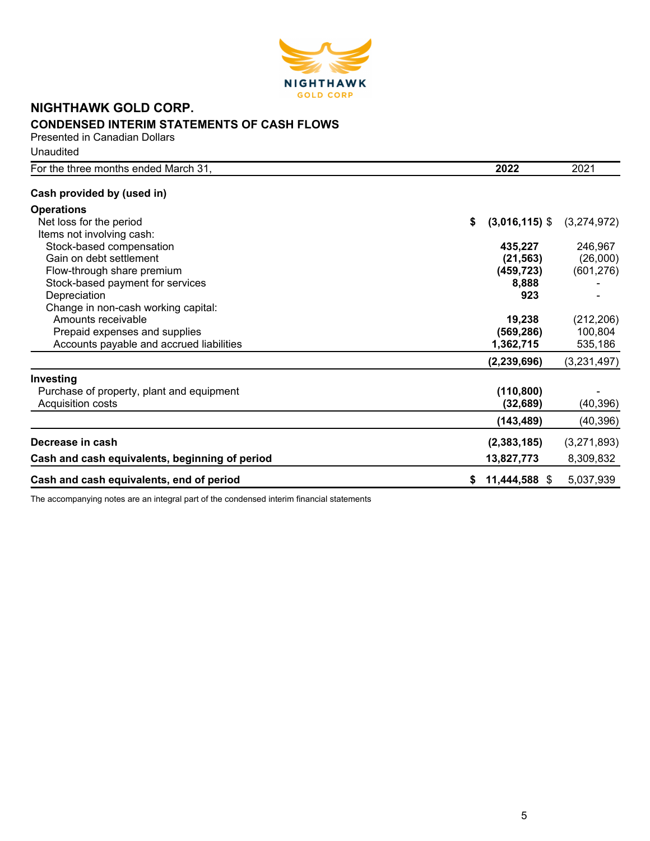

# **NIGHTHAWK GOLD CORP. CONDENSED INTERIM STATEMENTS OF CASH FLOWS**

Presented in Canadian Dollars Unaudited

| For the three months ended March 31,           | 2022                   | 2021        |
|------------------------------------------------|------------------------|-------------|
| Cash provided by (used in)                     |                        |             |
| <b>Operations</b>                              |                        |             |
| Net loss for the period                        | $(3,016,115)$ \$<br>\$ | (3,274,972) |
| Items not involving cash:                      |                        |             |
| Stock-based compensation                       | 435,227                | 246,967     |
| Gain on debt settlement                        | (21, 563)              | (26,000)    |
| Flow-through share premium                     | (459, 723)             | (601, 276)  |
| Stock-based payment for services               | 8,888                  |             |
| Depreciation                                   | 923                    |             |
| Change in non-cash working capital:            |                        |             |
| Amounts receivable                             | 19,238                 | (212, 206)  |
| Prepaid expenses and supplies                  | (569, 286)             | 100,804     |
| Accounts payable and accrued liabilities       | 1,362,715              | 535,186     |
|                                                | (2, 239, 696)          | (3,231,497) |
| Investing                                      |                        |             |
| Purchase of property, plant and equipment      | (110, 800)             |             |
| Acquisition costs                              | (32, 689)              | (40, 396)   |
|                                                | (143, 489)             | (40, 396)   |
| Decrease in cash                               | (2,383,185)            | (3,271,893) |
| Cash and cash equivalents, beginning of period | 13,827,773             | 8,309,832   |
| Cash and cash equivalents, end of period       | 11,444,588 \$          | 5,037,939   |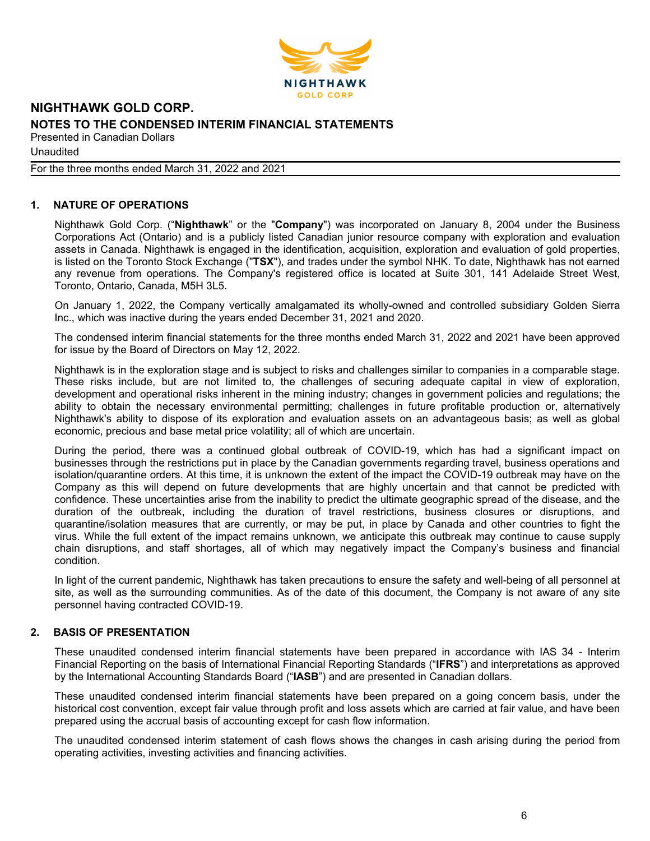

Unaudited

For the three months ended March 31, 2022 and 2021

# **1. NATURE OF OPERATIONS**

Nighthawk Gold Corp. ("**Nighthawk**" or the "**Company**") was incorporated on January 8, 2004 under the Business Corporations Act (Ontario) and is a publicly listed Canadian junior resource company with exploration and evaluation assets in Canada. Nighthawk is engaged in the identification, acquisition, exploration and evaluation of gold properties, is listed on the Toronto Stock Exchange ("**TSX**"), and trades under the symbol NHK. To date, Nighthawk has not earned any revenue from operations. The Company's registered office is located at Suite 301, 141 Adelaide Street West, Toronto, Ontario, Canada, M5H 3L5.

On January 1, 2022, the Company vertically amalgamated its wholly-owned and controlled subsidiary Golden Sierra Inc., which was inactive during the years ended December 31, 2021 and 2020.

The condensed interim financial statements for the three months ended March 31, 2022 and 2021 have been approved for issue by the Board of Directors on May 12, 2022.

Nighthawk is in the exploration stage and is subject to risks and challenges similar to companies in a comparable stage. These risks include, but are not limited to, the challenges of securing adequate capital in view of exploration, development and operational risks inherent in the mining industry; changes in government policies and regulations; the ability to obtain the necessary environmental permitting; challenges in future profitable production or, alternatively Nighthawk's ability to dispose of its exploration and evaluation assets on an advantageous basis; as well as global economic, precious and base metal price volatility; all of which are uncertain.

During the period, there was a continued global outbreak of COVID-19, which has had a significant impact on businesses through the restrictions put in place by the Canadian governments regarding travel, business operations and isolation/quarantine orders. At this time, it is unknown the extent of the impact the COVID-19 outbreak may have on the Company as this will depend on future developments that are highly uncertain and that cannot be predicted with confidence. These uncertainties arise from the inability to predict the ultimate geographic spread of the disease, and the duration of the outbreak, including the duration of travel restrictions, business closures or disruptions, and quarantine/isolation measures that are currently, or may be put, in place by Canada and other countries to fight the virus. While the full extent of the impact remains unknown, we anticipate this outbreak may continue to cause supply chain disruptions, and staff shortages, all of which may negatively impact the Company's business and financial condition.

In light of the current pandemic, Nighthawk has taken precautions to ensure the safety and well-being of all personnel at site, as well as the surrounding communities. As of the date of this document, the Company is not aware of any site personnel having contracted COVID-19.

## **2. BASIS OF PRESENTATION**

These unaudited condensed interim financial statements have been prepared in accordance with IAS 34 - Interim Financial Reporting on the basis of International Financial Reporting Standards ("**IFRS**") and interpretations as approved by the International Accounting Standards Board ("**IASB**") and are presented in Canadian dollars.

These unaudited condensed interim financial statements have been prepared on a going concern basis, under the historical cost convention, except fair value through profit and loss assets which are carried at fair value, and have been prepared using the accrual basis of accounting except for cash flow information.

The unaudited condensed interim statement of cash flows shows the changes in cash arising during the period from operating activities, investing activities and financing activities.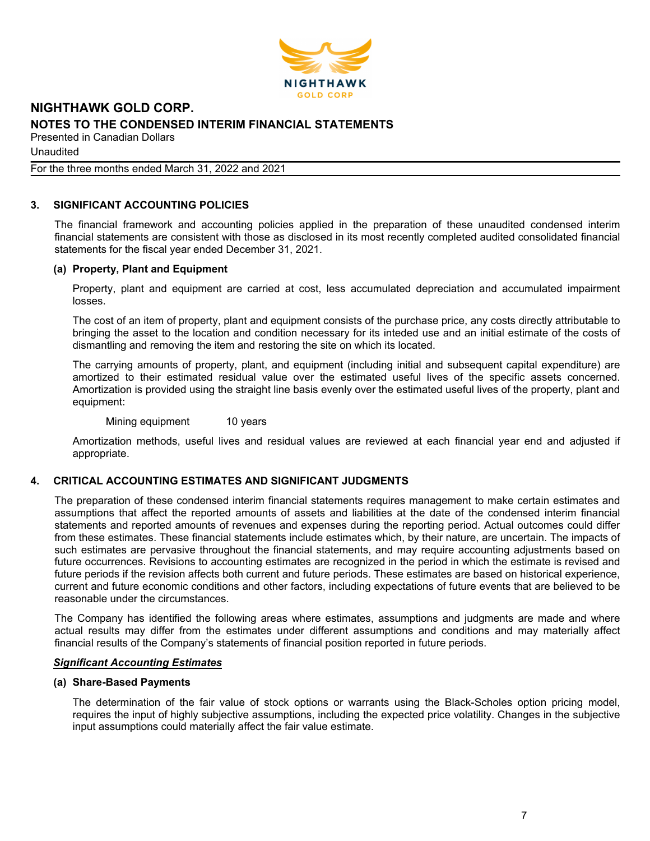

Unaudited

For the three months ended March 31, 2022 and 2021

# **3. SIGNIFICANT ACCOUNTING POLICIES**

The financial framework and accounting policies applied in the preparation of these unaudited condensed interim financial statements are consistent with those as disclosed in its most recently completed audited consolidated financial statements for the fiscal year ended December 31, 2021.

## **(a) Property, Plant and Equipment**

Property, plant and equipment are carried at cost, less accumulated depreciation and accumulated impairment losses.

The cost of an item of property, plant and equipment consists of the purchase price, any costs directly attributable to bringing the asset to the location and condition necessary for its inteded use and an initial estimate of the costs of dismantling and removing the item and restoring the site on which its located.

The carrying amounts of property, plant, and equipment (including initial and subsequent capital expenditure) are amortized to their estimated residual value over the estimated useful lives of the specific assets concerned. Amortization is provided using the straight line basis evenly over the estimated useful lives of the property, plant and equipment:

Mining equipment 10 years

Amortization methods, useful lives and residual values are reviewed at each financial year end and adjusted if appropriate.

## **4. CRITICAL ACCOUNTING ESTIMATES AND SIGNIFICANT JUDGMENTS**

The preparation of these condensed interim financial statements requires management to make certain estimates and assumptions that affect the reported amounts of assets and liabilities at the date of the condensed interim financial statements and reported amounts of revenues and expenses during the reporting period. Actual outcomes could differ from these estimates. These financial statements include estimates which, by their nature, are uncertain. The impacts of such estimates are pervasive throughout the financial statements, and may require accounting adjustments based on future occurrences. Revisions to accounting estimates are recognized in the period in which the estimate is revised and future periods if the revision affects both current and future periods. These estimates are based on historical experience, current and future economic conditions and other factors, including expectations of future events that are believed to be reasonable under the circumstances.

The Company has identified the following areas where estimates, assumptions and judgments are made and where actual results may differ from the estimates under different assumptions and conditions and may materially affect financial results of the Company's statements of financial position reported in future periods.

#### *Significant Accounting Estimates*

#### **(a) Share-Based Payments**

The determination of the fair value of stock options or warrants using the Black-Scholes option pricing model, requires the input of highly subjective assumptions, including the expected price volatility. Changes in the subjective input assumptions could materially affect the fair value estimate.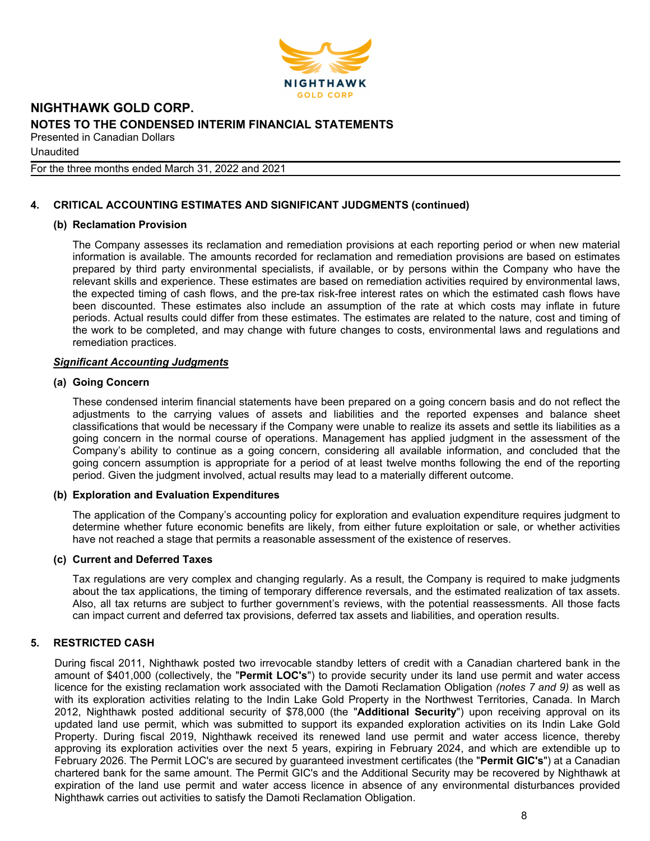

Unaudited

For the three months ended March 31, 2022 and 2021

# **4. CRITICAL ACCOUNTING ESTIMATES AND SIGNIFICANT JUDGMENTS (continued)**

## **(b) Reclamation Provision**

The Company assesses its reclamation and remediation provisions at each reporting period or when new material information is available. The amounts recorded for reclamation and remediation provisions are based on estimates prepared by third party environmental specialists, if available, or by persons within the Company who have the relevant skills and experience. These estimates are based on remediation activities required by environmental laws, the expected timing of cash flows, and the pre-tax risk-free interest rates on which the estimated cash flows have been discounted. These estimates also include an assumption of the rate at which costs may inflate in future periods. Actual results could differ from these estimates. The estimates are related to the nature, cost and timing of the work to be completed, and may change with future changes to costs, environmental laws and regulations and remediation practices.

#### *Significant Accounting Judgments*

#### **(a) Going Concern**

These condensed interim financial statements have been prepared on a going concern basis and do not reflect the adjustments to the carrying values of assets and liabilities and the reported expenses and balance sheet classifications that would be necessary if the Company were unable to realize its assets and settle its liabilities as a going concern in the normal course of operations. Management has applied judgment in the assessment of the Company's ability to continue as a going concern, considering all available information, and concluded that the going concern assumption is appropriate for a period of at least twelve months following the end of the reporting period. Given the judgment involved, actual results may lead to a materially different outcome.

#### **(b) Exploration and Evaluation Expenditures**

The application of the Company's accounting policy for exploration and evaluation expenditure requires judgment to determine whether future economic benefits are likely, from either future exploitation or sale, or whether activities have not reached a stage that permits a reasonable assessment of the existence of reserves.

#### **(c) Current and Deferred Taxes**

Tax regulations are very complex and changing regularly. As a result, the Company is required to make judgments about the tax applications, the timing of temporary difference reversals, and the estimated realization of tax assets. Also, all tax returns are subject to further government's reviews, with the potential reassessments. All those facts can impact current and deferred tax provisions, deferred tax assets and liabilities, and operation results.

## **5. RESTRICTED CASH**

During fiscal 2011, Nighthawk posted two irrevocable standby letters of credit with a Canadian chartered bank in the amount of \$401,000 (collectively, the "**Permit LOC's**") to provide security under its land use permit and water access licence for the existing reclamation work associated with the Damoti Reclamation Obligation *(notes 7 and 9)* as well as with its exploration activities relating to the Indin Lake Gold Property in the Northwest Territories, Canada. In March 2012, Nighthawk posted additional security of \$78,000 (the "**Additional Security**") upon receiving approval on its updated land use permit, which was submitted to support its expanded exploration activities on its Indin Lake Gold Property. During fiscal 2019, Nighthawk received its renewed land use permit and water access licence, thereby approving its exploration activities over the next 5 years, expiring in February 2024, and which are extendible up to February 2026. The Permit LOC's are secured by guaranteed investment certificates (the "**Permit GIC's**") at a Canadian chartered bank for the same amount. The Permit GIC's and the Additional Security may be recovered by Nighthawk at expiration of the land use permit and water access licence in absence of any environmental disturbances provided Nighthawk carries out activities to satisfy the Damoti Reclamation Obligation.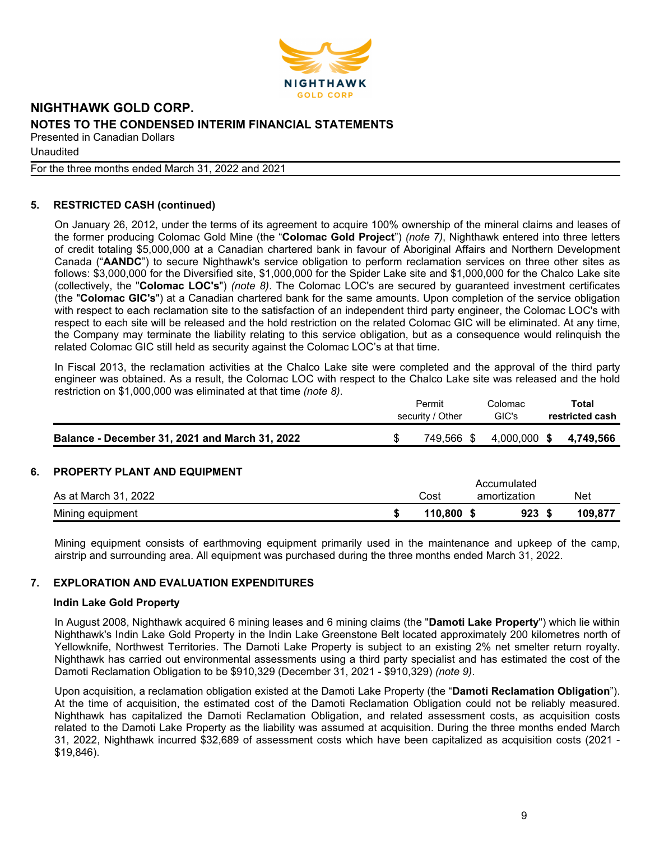

Unaudited

For the three months ended March 31, 2022 and 2021

# **5. RESTRICTED CASH (continued)**

On January 26, 2012, under the terms of its agreement to acquire 100% ownership of the mineral claims and leases of the former producing Colomac Gold Mine (the "**Colomac Gold Project**") *(note 7)*, Nighthawk entered into three letters of credit totaling \$5,000,000 at a Canadian chartered bank in favour of Aboriginal Affairs and Northern Development Canada ("**AANDC**") to secure Nighthawk's service obligation to perform reclamation services on three other sites as follows: \$3,000,000 for the Diversified site, \$1,000,000 for the Spider Lake site and \$1,000,000 for the Chalco Lake site (collectively, the "**Colomac LOC's**") *(note 8)*. The Colomac LOC's are secured by guaranteed investment certificates (the "**Colomac GIC's**") at a Canadian chartered bank for the same amounts. Upon completion of the service obligation with respect to each reclamation site to the satisfaction of an independent third party engineer, the Colomac LOC's with respect to each site will be released and the hold restriction on the related Colomac GIC will be eliminated. At any time, the Company may terminate the liability relating to this service obligation, but as a consequence would relinquish the related Colomac GIC still held as security against the Colomac LOC's at that time.

In Fiscal 2013, the reclamation activities at the Chalco Lake site were completed and the approval of the third party engineer was obtained. As a result, the Colomac LOC with respect to the Chalco Lake site was released and the hold restriction on \$1,000,000 was eliminated at that time *(note 8)*.

|                                                | Permit           | Colomac | Total                  |
|------------------------------------------------|------------------|---------|------------------------|
|                                                | security / Other | GIC's   | restricted cash        |
| Balance - December 31, 2021 and March 31, 2022 | 749,566 \$       |         | 4,000,000 \$ 4,749,566 |

## **6. PROPERTY PLANT AND EQUIPMENT**

|                      |         | Accumulated  |     |         |
|----------------------|---------|--------------|-----|---------|
| As at March 31, 2022 | Cost    | amortization |     | Net     |
| Mining equipment     | 110.800 |              | 923 | 109.877 |

Mining equipment consists of earthmoving equipment primarily used in the maintenance and upkeep of the camp, airstrip and surrounding area. All equipment was purchased during the three months ended March 31, 2022.

## **7. EXPLORATION AND EVALUATION EXPENDITURES**

#### **Indin Lake Gold Property**

In August 2008, Nighthawk acquired 6 mining leases and 6 mining claims (the "**Damoti Lake Property**") which lie within Nighthawk's Indin Lake Gold Property in the Indin Lake Greenstone Belt located approximately 200 kilometres north of Yellowknife, Northwest Territories. The Damoti Lake Property is subject to an existing 2% net smelter return royalty. Nighthawk has carried out environmental assessments using a third party specialist and has estimated the cost of the Damoti Reclamation Obligation to be \$910,329 (December 31, 2021 - \$910,329) *(note 9)*.

Upon acquisition, a reclamation obligation existed at the Damoti Lake Property (the "**Damoti Reclamation Obligation**"). At the time of acquisition, the estimated cost of the Damoti Reclamation Obligation could not be reliably measured. Nighthawk has capitalized the Damoti Reclamation Obligation, and related assessment costs, as acquisition costs related to the Damoti Lake Property as the liability was assumed at acquisition. During the three months ended March 31, 2022, Nighthawk incurred \$32,689 of assessment costs which have been capitalized as acquisition costs (2021 - \$19,846).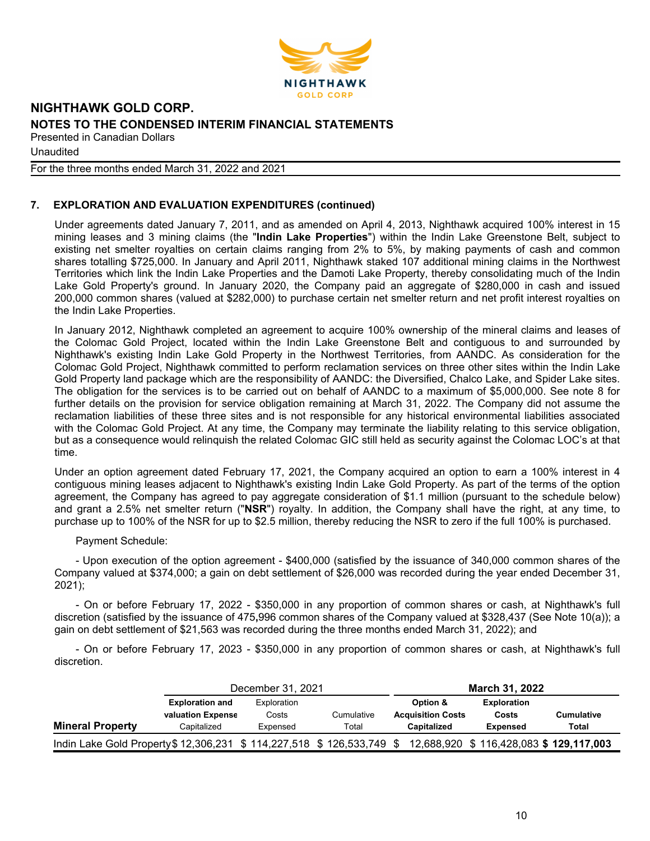

Unaudited

For the three months ended March 31, 2022 and 2021

# **7. EXPLORATION AND EVALUATION EXPENDITURES (continued)**

Under agreements dated January 7, 2011, and as amended on April 4, 2013, Nighthawk acquired 100% interest in 15 mining leases and 3 mining claims (the "**Indin Lake Properties**") within the Indin Lake Greenstone Belt, subject to existing net smelter royalties on certain claims ranging from 2% to 5%, by making payments of cash and common shares totalling \$725,000. In January and April 2011, Nighthawk staked 107 additional mining claims in the Northwest Territories which link the Indin Lake Properties and the Damoti Lake Property, thereby consolidating much of the Indin Lake Gold Property's ground. In January 2020, the Company paid an aggregate of \$280,000 in cash and issued 200,000 common shares (valued at \$282,000) to purchase certain net smelter return and net profit interest royalties on the Indin Lake Properties.

In January 2012, Nighthawk completed an agreement to acquire 100% ownership of the mineral claims and leases of the Colomac Gold Project, located within the Indin Lake Greenstone Belt and contiguous to and surrounded by Nighthawk's existing Indin Lake Gold Property in the Northwest Territories, from AANDC. As consideration for the Colomac Gold Project, Nighthawk committed to perform reclamation services on three other sites within the Indin Lake Gold Property land package which are the responsibility of AANDC: the Diversified, Chalco Lake, and Spider Lake sites. The obligation for the services is to be carried out on behalf of AANDC to a maximum of \$5,000,000. See note 8 for further details on the provision for service obligation remaining at March 31, 2022. The Company did not assume the reclamation liabilities of these three sites and is not responsible for any historical environmental liabilities associated with the Colomac Gold Project. At any time, the Company may terminate the liability relating to this service obligation, but as a consequence would relinquish the related Colomac GIC still held as security against the Colomac LOC's at that time.

Under an option agreement dated February 17, 2021, the Company acquired an option to earn a 100% interest in 4 contiguous mining leases adjacent to Nighthawk's existing Indin Lake Gold Property. As part of the terms of the option agreement, the Company has agreed to pay aggregate consideration of \$1.1 million (pursuant to the schedule below) and grant a 2.5% net smelter return ("**NSR**") royalty. In addition, the Company shall have the right, at any time, to purchase up to 100% of the NSR for up to \$2.5 million, thereby reducing the NSR to zero if the full 100% is purchased.

#### Payment Schedule:

- Upon execution of the option agreement - \$400,000 (satisfied by the issuance of 340,000 common shares of the Company valued at \$374,000; a gain on debt settlement of \$26,000 was recorded during the year ended December 31, 2021);

- On or before February 17, 2022 - \$350,000 in any proportion of common shares or cash, at Nighthawk's full discretion (satisfied by the issuance of 475**,**996 common shares of the Company valued at \$328,437 (See Note 10(a)); a gain on debt settlement of \$21,563 was recorded during the three months ended March 31, 2022); and

- On or before February 17, 2023 - \$350,000 in any proportion of common shares or cash, at Nighthawk's full discretion.

|                                                                      | December 31, 2021                                          |                                  |                     | March 31, 2022                                      |                                                |                     |
|----------------------------------------------------------------------|------------------------------------------------------------|----------------------------------|---------------------|-----------------------------------------------------|------------------------------------------------|---------------------|
| <b>Mineral Property</b>                                              | <b>Exploration and</b><br>valuation Expense<br>Capitalized | Exploration<br>Costs<br>Expensed | Cumulative<br>Total | Option &<br><b>Acquisition Costs</b><br>Capitalized | <b>Exploration</b><br>Costs<br><b>Expensed</b> | Cumulative<br>Total |
| Indin Lake Gold Property \$12,306,231 \$114,227,518 \$126,533,749 \$ |                                                            |                                  |                     |                                                     | 12,688,920 \$ 116,428,083 \$ 129,117,003       |                     |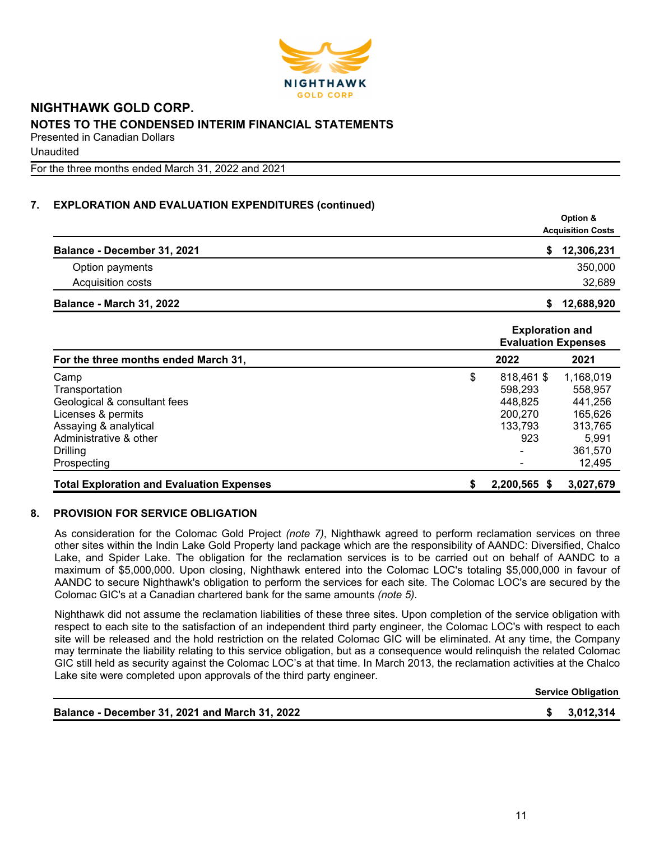

Unaudited

For the three months ended March 31, 2022 and 2021

# **7. EXPLORATION AND EVALUATION EXPENDITURES (continued)**

|                                 | Option &                 |
|---------------------------------|--------------------------|
|                                 | <b>Acquisition Costs</b> |
| Balance - December 31, 2021     | 12,306,231               |
| Option payments                 | 350,000                  |
| Acquisition costs               | 32,689                   |
| <b>Balance - March 31, 2022</b> | 12,688,920<br>S.         |

|                                                  |    | <b>Exploration and</b><br><b>Evaluation Expenses</b> |           |
|--------------------------------------------------|----|------------------------------------------------------|-----------|
| For the three months ended March 31,             |    | 2022                                                 | 2021      |
| Camp                                             | \$ | 818,461 \$                                           | 1,168,019 |
| Transportation                                   |    | 598.293                                              | 558,957   |
| Geological & consultant fees                     |    | 448.825                                              | 441,256   |
| Licenses & permits                               |    | 200,270                                              | 165,626   |
| Assaying & analytical                            |    | 133.793                                              | 313,765   |
| Administrative & other                           |    | 923                                                  | 5,991     |
| <b>Drilling</b>                                  |    |                                                      | 361,570   |
| Prospecting                                      |    |                                                      | 12,495    |
| <b>Total Exploration and Evaluation Expenses</b> | S  | 2,200,565 \$                                         | 3,027,679 |

## **8. PROVISION FOR SERVICE OBLIGATION**

As consideration for the Colomac Gold Project *(note 7)*, Nighthawk agreed to perform reclamation services on three other sites within the Indin Lake Gold Property land package which are the responsibility of AANDC: Diversified, Chalco Lake, and Spider Lake. The obligation for the reclamation services is to be carried out on behalf of AANDC to a maximum of \$5,000,000. Upon closing, Nighthawk entered into the Colomac LOC's totaling \$5,000,000 in favour of AANDC to secure Nighthawk's obligation to perform the services for each site. The Colomac LOC's are secured by the Colomac GIC's at a Canadian chartered bank for the same amounts *(note 5)*.

Nighthawk did not assume the reclamation liabilities of these three sites. Upon completion of the service obligation with respect to each site to the satisfaction of an independent third party engineer, the Colomac LOC's with respect to each site will be released and the hold restriction on the related Colomac GIC will be eliminated. At any time, the Company may terminate the liability relating to this service obligation, but as a consequence would relinquish the related Colomac GIC still held as security against the Colomac LOC's at that time. In March 2013, the reclamation activities at the Chalco Lake site were completed upon approvals of the third party engineer.

**Service Obligation**

**Balance - December 31, 2021 and March 31, 2022 \$ 3,012,314**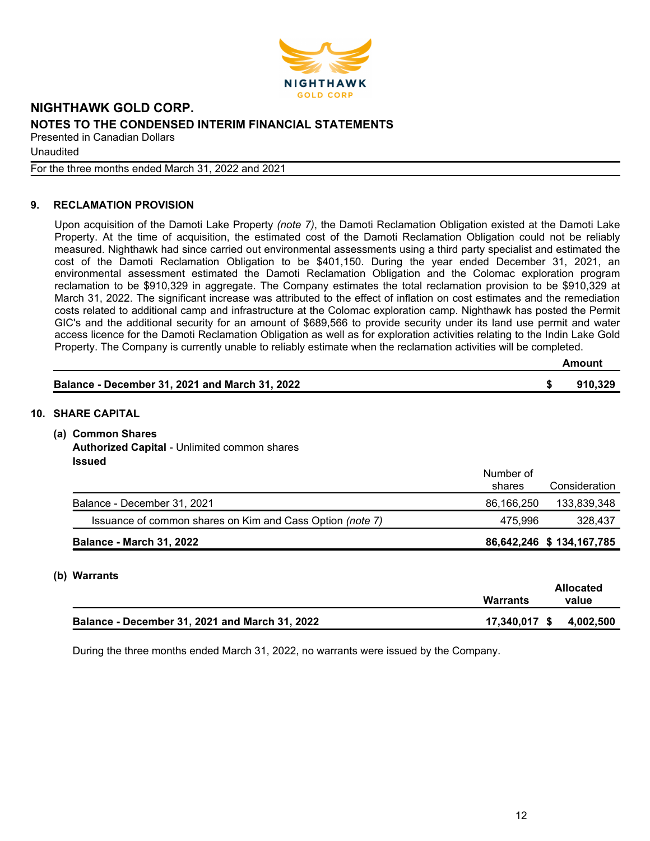

Unaudited

For the three months ended March 31, 2022 and 2021

# **9. RECLAMATION PROVISION**

Upon acquisition of the Damoti Lake Property *(note 7)*, the Damoti Reclamation Obligation existed at the Damoti Lake Property. At the time of acquisition, the estimated cost of the Damoti Reclamation Obligation could not be reliably measured. Nighthawk had since carried out environmental assessments using a third party specialist and estimated the cost of the Damoti Reclamation Obligation to be \$401,150. During the year ended December 31, 2021, an environmental assessment estimated the Damoti Reclamation Obligation and the Colomac exploration program reclamation to be \$910,329 in aggregate. The Company estimates the total reclamation provision to be \$910,329 at March 31, 2022. The significant increase was attributed to the effect of inflation on cost estimates and the remediation costs related to additional camp and infrastructure at the Colomac exploration camp. Nighthawk has posted the Permit GIC's and the additional security for an amount of \$689,566 to provide security under its land use permit and water access licence for the Damoti Reclamation Obligation as well as for exploration activities relating to the Indin Lake Gold Property. The Company is currently unable to reliably estimate when the reclamation activities will be completed.

|     | Balance - December 31, 2021 and March 31, 2022                                               |                     | 910,329                  |
|-----|----------------------------------------------------------------------------------------------|---------------------|--------------------------|
|     | <b>10. SHARE CAPITAL</b>                                                                     |                     |                          |
| (a) | <b>Common Shares</b><br><b>Authorized Capital - Unlimited common shares</b><br><b>Issued</b> |                     |                          |
|     |                                                                                              | Number of<br>shares | Consideration            |
|     | Balance - December 31, 2021                                                                  | 86,166,250          | 133,839,348              |
|     | Issuance of common shares on Kim and Cass Option (note 7)                                    | 475,996             | 328,437                  |
|     | <b>Balance - March 31, 2022</b>                                                              |                     | 86,642,246 \$134,167,785 |

#### **(b) Warrants**

|                                                | Warrants      | Allocated<br>value |
|------------------------------------------------|---------------|--------------------|
| Balance - December 31, 2021 and March 31, 2022 | 17,340,017 \$ | 4,002,500          |

During the three months ended March 31, 2022, no warrants were issued by the Company.

**Amount**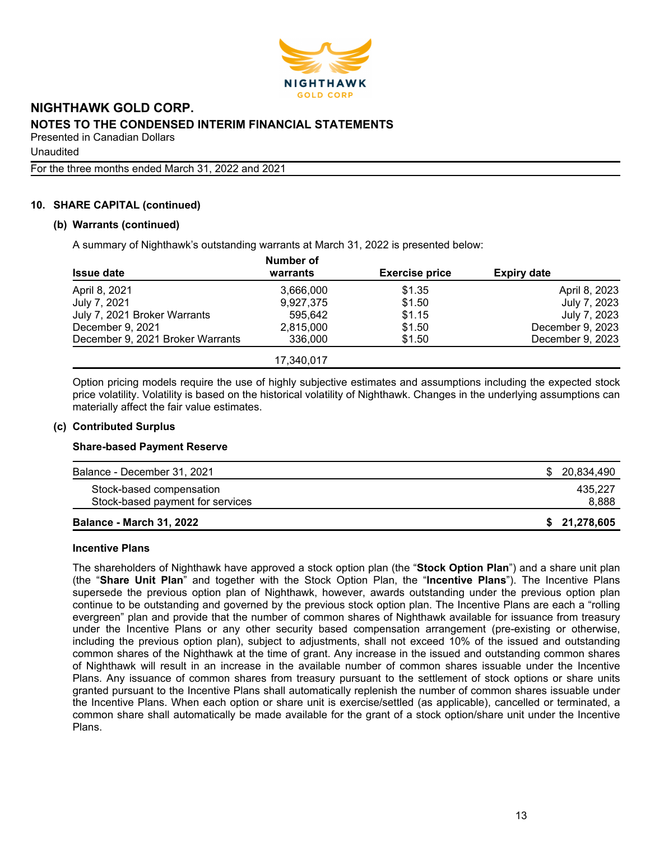

Unaudited

For the three months ended March 31, 2022 and 2021

# **10. SHARE CAPITAL (continued)**

#### **(b) Warrants (continued)**

A summary of Nighthawk's outstanding warrants at March 31, 2022 is presented below:

|                                  | Number of  |                       |                    |
|----------------------------------|------------|-----------------------|--------------------|
| <b>Issue date</b>                | warrants   | <b>Exercise price</b> | <b>Expiry date</b> |
| April 8, 2021                    | 3,666,000  | \$1.35                | April 8, 2023      |
| July 7, 2021                     | 9,927,375  | \$1.50                | July 7, 2023       |
| July 7, 2021 Broker Warrants     | 595.642    | \$1.15                | July 7, 2023       |
| December 9, 2021                 | 2,815,000  | \$1.50                | December 9, 2023   |
| December 9, 2021 Broker Warrants | 336,000    | \$1.50                | December 9, 2023   |
|                                  | 17,340,017 |                       |                    |

Option pricing models require the use of highly subjective estimates and assumptions including the expected stock price volatility. Volatility is based on the historical volatility of Nighthawk. Changes in the underlying assumptions can materially affect the fair value estimates.

#### **(c) Contributed Surplus**

#### **Share-based Payment Reserve**

| Balance - December 31, 2021<br>Stock-based compensation | \$ 20.834.490<br>435.227 |
|---------------------------------------------------------|--------------------------|
| Stock-based payment for services                        | 8,888                    |
| <b>Balance - March 31, 2022</b>                         | \$21,278,605             |

#### **Incentive Plans**

The shareholders of Nighthawk have approved a stock option plan (the "**Stock Option Plan**") and a share unit plan (the "**Share Unit Plan**" and together with the Stock Option Plan, the "**Incentive Plans**"). The Incentive Plans supersede the previous option plan of Nighthawk, however, awards outstanding under the previous option plan continue to be outstanding and governed by the previous stock option plan. The Incentive Plans are each a "rolling evergreen" plan and provide that the number of common shares of Nighthawk available for issuance from treasury under the Incentive Plans or any other security based compensation arrangement (pre-existing or otherwise, including the previous option plan), subject to adjustments, shall not exceed 10% of the issued and outstanding common shares of the Nighthawk at the time of grant. Any increase in the issued and outstanding common shares of Nighthawk will result in an increase in the available number of common shares issuable under the Incentive Plans. Any issuance of common shares from treasury pursuant to the settlement of stock options or share units granted pursuant to the Incentive Plans shall automatically replenish the number of common shares issuable under the Incentive Plans. When each option or share unit is exercise/settled (as applicable), cancelled or terminated, a common share shall automatically be made available for the grant of a stock option/share unit under the Incentive Plans.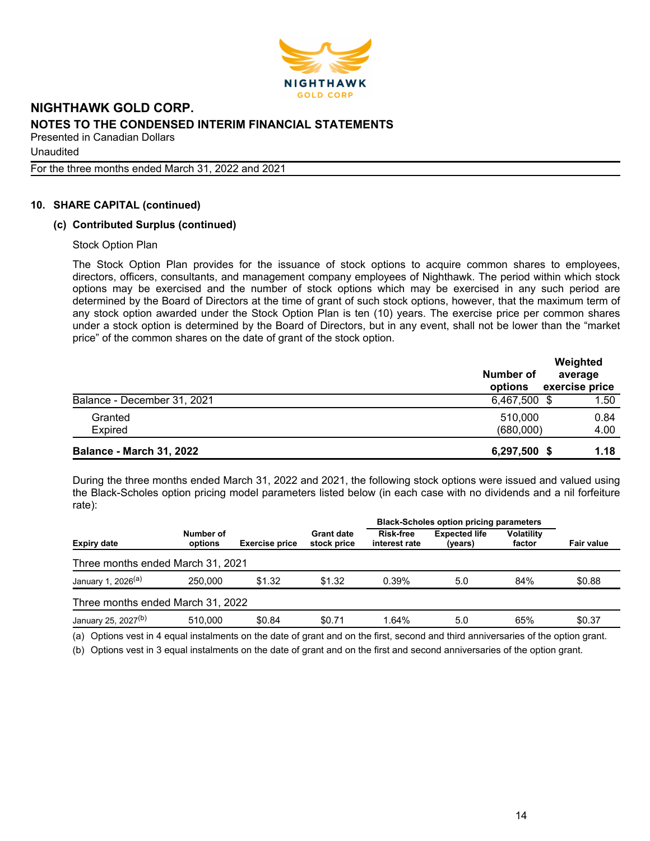

Unaudited

For the three months ended March 31, 2022 and 2021

## **10. SHARE CAPITAL (continued)**

#### **(c) Contributed Surplus (continued)**

Stock Option Plan

The Stock Option Plan provides for the issuance of stock options to acquire common shares to employees, directors, officers, consultants, and management company employees of Nighthawk. The period within which stock options may be exercised and the number of stock options which may be exercised in any such period are determined by the Board of Directors at the time of grant of such stock options, however, that the maximum term of any stock option awarded under the Stock Option Plan is ten (10) years. The exercise price per common shares under a stock option is determined by the Board of Directors, but in any event, shall not be lower than the "market price" of the common shares on the date of grant of the stock option.

|                                 | Number of<br>options | Weighted<br>average<br>exercise price |
|---------------------------------|----------------------|---------------------------------------|
| Balance - December 31, 2021     | 6,467,500 \$         | 1.50                                  |
| Granted<br>Expired              | 510,000<br>(680,000) | 0.84<br>4.00                          |
| <b>Balance - March 31, 2022</b> | 6,297,500 \$         | 1.18                                  |

During the three months ended March 31, 2022 and 2021, the following stock options were issued and valued using the Black-Scholes option pricing model parameters listed below (in each case with no dividends and a nil forfeiture rate):

|                                   |                      |                       |                                  | <b>Black-Scholes option pricing parameters</b> |                                 |                             |            |
|-----------------------------------|----------------------|-----------------------|----------------------------------|------------------------------------------------|---------------------------------|-----------------------------|------------|
| <b>Expiry date</b>                | Number of<br>options | <b>Exercise price</b> | <b>Grant date</b><br>stock price | Risk-free<br>interest rate                     | <b>Expected life</b><br>(years) | <b>Volatility</b><br>factor | Fair value |
| Three months ended March 31, 2021 |                      |                       |                                  |                                                |                                 |                             |            |
| January 1, 2026 <sup>(a)</sup>    | 250.000              | \$1.32                | \$1.32                           | 0.39%                                          | 5.0                             | 84%                         | \$0.88     |
| Three months ended March 31, 2022 |                      |                       |                                  |                                                |                                 |                             |            |
| January 25, 2027 <sup>(b)</sup>   | 510.000              | \$0.84                | \$0.71                           | 1.64%                                          | 5.0                             | 65%                         | \$0.37     |

(a) Options vest in 4 equal instalments on the date of grant and on the first, second and third anniversaries of the option grant.

(b) Options vest in 3 equal instalments on the date of grant and on the first and second anniversaries of the option grant.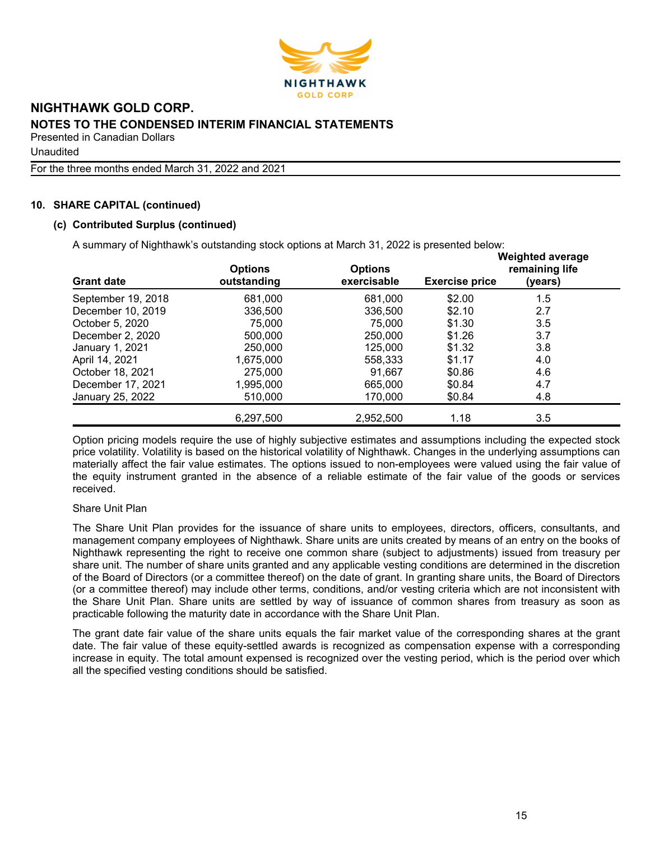

Unaudited

For the three months ended March 31, 2022 and 2021

# **10. SHARE CAPITAL (continued)**

## **(c) Contributed Surplus (continued)**

A summary of Nighthawk's outstanding stock options at March 31, 2022 is presented below:

| <b>Grant date</b>  | <b>Options</b><br>outstanding | <b>Options</b><br>exercisable | <b>Exercise price</b> | <b>Weighted average</b><br>remaining life<br>(years) |
|--------------------|-------------------------------|-------------------------------|-----------------------|------------------------------------------------------|
| September 19, 2018 | 681,000                       | 681,000                       | \$2.00                | 1.5                                                  |
| December 10, 2019  | 336,500                       | 336,500                       | \$2.10                | 2.7                                                  |
| October 5, 2020    | 75,000                        | 75,000                        | \$1.30                | 3.5                                                  |
| December 2, 2020   | 500,000                       | 250,000                       | \$1.26                | 3.7                                                  |
| January 1, 2021    | 250,000                       | 125,000                       | \$1.32                | 3.8                                                  |
| April 14, 2021     | 1,675,000                     | 558,333                       | \$1.17                | 4.0                                                  |
| October 18, 2021   | 275,000                       | 91.667                        | \$0.86                | 4.6                                                  |
| December 17, 2021  | 1,995,000                     | 665,000                       | \$0.84                | 4.7                                                  |
| January 25, 2022   | 510,000                       | 170,000                       | \$0.84                | 4.8                                                  |
|                    | 6,297,500                     | 2,952,500                     | 1.18                  | 3.5                                                  |

Option pricing models require the use of highly subjective estimates and assumptions including the expected stock price volatility. Volatility is based on the historical volatility of Nighthawk. Changes in the underlying assumptions can materially affect the fair value estimates. The options issued to non-employees were valued using the fair value of the equity instrument granted in the absence of a reliable estimate of the fair value of the goods or services received.

#### Share Unit Plan

The Share Unit Plan provides for the issuance of share units to employees, directors, officers, consultants, and management company employees of Nighthawk. Share units are units created by means of an entry on the books of Nighthawk representing the right to receive one common share (subject to adjustments) issued from treasury per share unit. The number of share units granted and any applicable vesting conditions are determined in the discretion of the Board of Directors (or a committee thereof) on the date of grant. In granting share units, the Board of Directors (or a committee thereof) may include other terms, conditions, and/or vesting criteria which are not inconsistent with the Share Unit Plan. Share units are settled by way of issuance of common shares from treasury as soon as practicable following the maturity date in accordance with the Share Unit Plan.

The grant date fair value of the share units equals the fair market value of the corresponding shares at the grant date. The fair value of these equity-settled awards is recognized as compensation expense with a corresponding increase in equity. The total amount expensed is recognized over the vesting period, which is the period over which all the specified vesting conditions should be satisfied.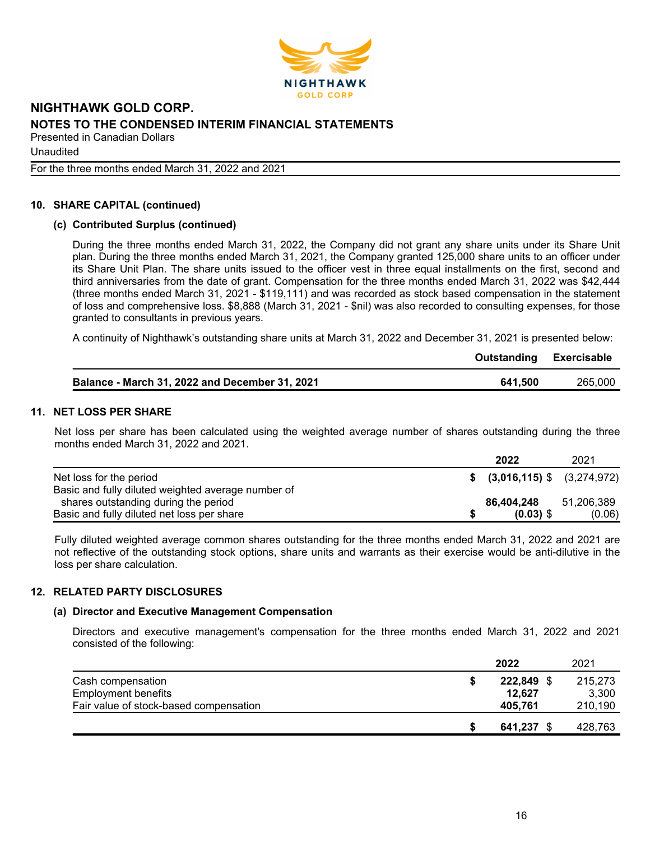

Unaudited

For the three months ended March 31, 2022 and 2021

#### **10. SHARE CAPITAL (continued)**

#### **(c) Contributed Surplus (continued)**

During the three months ended March 31, 2022, the Company did not grant any share units under its Share Unit plan. During the three months ended March 31, 2021, the Company granted 125,000 share units to an officer under its Share Unit Plan. The share units issued to the officer vest in three equal installments on the first, second and third anniversaries from the date of grant. Compensation for the three months ended March 31, 2022 was \$42,444 (three months ended March 31, 2021 - \$119,111) and was recorded as stock based compensation in the statement of loss and comprehensive loss. \$8,888 (March 31, 2021 - \$nil) was also recorded to consulting expenses, for those granted to consultants in previous years.

A continuity of Nighthawk's outstanding share units at March 31, 2022 and December 31, 2021 is presented below:

|                                                | <b>Outstanding Exercisable</b> |         |
|------------------------------------------------|--------------------------------|---------|
| Balance - March 31, 2022 and December 31, 2021 | 641.500                        | 265,000 |

#### **11. NET LOSS PER SHARE**

Net loss per share has been calculated using the weighted average number of shares outstanding during the three months ended March 31, 2022 and 2021.

|                                                    | 2022                            | 2021       |
|----------------------------------------------------|---------------------------------|------------|
| Net loss for the period                            | $$$ (3,016,115) $$$ (3,274,972) |            |
| Basic and fully diluted weighted average number of |                                 |            |
| shares outstanding during the period               | 86.404.248                      | 51,206,389 |
| Basic and fully diluted net loss per share         | $(0.03)$ \$                     | (0.06)     |

Fully diluted weighted average common shares outstanding for the three months ended March 31, 2022 and 2021 are not reflective of the outstanding stock options, share units and warrants as their exercise would be anti-dilutive in the loss per share calculation.

#### **12. RELATED PARTY DISCLOSURES**

#### **(a) Director and Executive Management Compensation**

Directors and executive management's compensation for the three months ended March 31, 2022 and 2021 consisted of the following:

|                                        | 2022    | 2021    |
|----------------------------------------|---------|---------|
| Cash compensation                      | 222.849 | 215,273 |
| <b>Employment benefits</b>             | 12,627  | 3,300   |
| Fair value of stock-based compensation | 405.761 | 210,190 |
|                                        | 641.237 | 428,763 |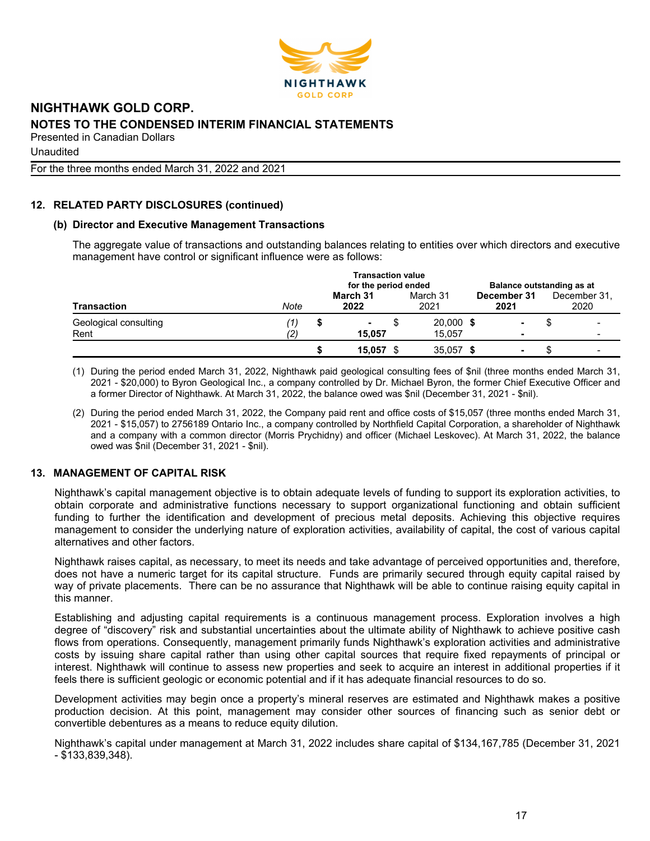

Unaudited

For the three months ended March 31, 2022 and 2021

# **12. RELATED PARTY DISCLOSURES (continued)**

#### **(b) Director and Executive Management Transactions**

The aggregate value of transactions and outstanding balances relating to entities over which directors and executive management have control or significant influence were as follows:

|                               | <b>Transaction value</b><br>for the period ended<br>Balance outstanding as at |  |                  |   |                       |  |                     |  |                      |
|-------------------------------|-------------------------------------------------------------------------------|--|------------------|---|-----------------------|--|---------------------|--|----------------------|
| <b>Transaction</b>            | Note                                                                          |  | March 31<br>2022 |   | March 31<br>2021      |  | December 31<br>2021 |  | December 31.<br>2020 |
| Geological consulting<br>Rent | '1)<br>(2)                                                                    |  | ۰<br>15.057      | S | $20,000$ \$<br>15.057 |  | ٠                   |  |                      |
|                               |                                                                               |  | 15,057           |   | 35,057 \$             |  | -                   |  |                      |

(1) During the period ended March 31, 2022, Nighthawk paid geological consulting fees of \$nil (three months ended March 31, 2021 - \$20,000) to Byron Geological Inc., a company controlled by Dr. Michael Byron, the former Chief Executive Officer and a former Director of Nighthawk. At March 31, 2022, the balance owed was \$nil (December 31, 2021 - \$nil).

(2) During the period ended March 31, 2022, the Company paid rent and office costs of \$15,057 (three months ended March 31, 2021 - \$15,057) to 2756189 Ontario Inc., a company controlled by Northfield Capital Corporation, a shareholder of Nighthawk and a company with a common director (Morris Prychidny) and officer (Michael Leskovec). At March 31, 2022, the balance owed was \$nil (December 31, 2021 - \$nil).

## **13. MANAGEMENT OF CAPITAL RISK**

Nighthawk's capital management objective is to obtain adequate levels of funding to support its exploration activities, to obtain corporate and administrative functions necessary to support organizational functioning and obtain sufficient funding to further the identification and development of precious metal deposits. Achieving this objective requires management to consider the underlying nature of exploration activities, availability of capital, the cost of various capital alternatives and other factors.

Nighthawk raises capital, as necessary, to meet its needs and take advantage of perceived opportunities and, therefore, does not have a numeric target for its capital structure. Funds are primarily secured through equity capital raised by way of private placements. There can be no assurance that Nighthawk will be able to continue raising equity capital in this manner.

Establishing and adjusting capital requirements is a continuous management process. Exploration involves a high degree of "discovery" risk and substantial uncertainties about the ultimate ability of Nighthawk to achieve positive cash flows from operations. Consequently, management primarily funds Nighthawk's exploration activities and administrative costs by issuing share capital rather than using other capital sources that require fixed repayments of principal or interest. Nighthawk will continue to assess new properties and seek to acquire an interest in additional properties if it feels there is sufficient geologic or economic potential and if it has adequate financial resources to do so.

Development activities may begin once a property's mineral reserves are estimated and Nighthawk makes a positive production decision. At this point, management may consider other sources of financing such as senior debt or convertible debentures as a means to reduce equity dilution.

Nighthawk's capital under management at March 31, 2022 includes share capital of \$134,167,785 (December 31, 2021 - \$133,839,348).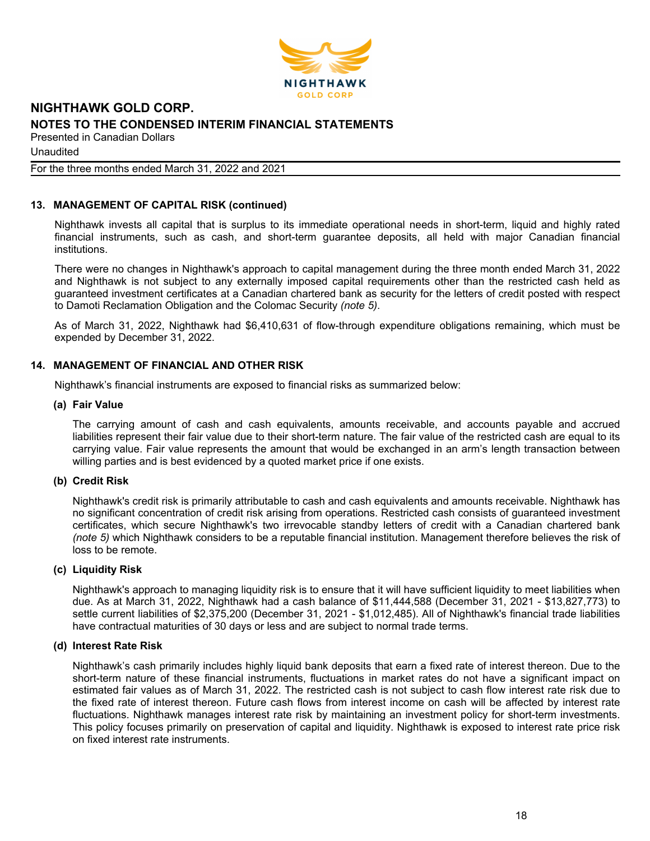

Unaudited

#### For the three months ended March 31, 2022 and 2021

#### **13. MANAGEMENT OF CAPITAL RISK (continued)**

Nighthawk invests all capital that is surplus to its immediate operational needs in short-term, liquid and highly rated financial instruments, such as cash, and short-term guarantee deposits, all held with major Canadian financial institutions.

There were no changes in Nighthawk's approach to capital management during the three month ended March 31, 2022 and Nighthawk is not subject to any externally imposed capital requirements other than the restricted cash held as guaranteed investment certificates at a Canadian chartered bank as security for the letters of credit posted with respect to Damoti Reclamation Obligation and the Colomac Security *(note 5)*.

As of March 31, 2022, Nighthawk had \$6,410,631 of flow-through expenditure obligations remaining, which must be expended by December 31, 2022.

#### **14. MANAGEMENT OF FINANCIAL AND OTHER RISK**

Nighthawk's financial instruments are exposed to financial risks as summarized below:

#### **(a) Fair Value**

The carrying amount of cash and cash equivalents, amounts receivable, and accounts payable and accrued liabilities represent their fair value due to their short-term nature. The fair value of the restricted cash are equal to its carrying value. Fair value represents the amount that would be exchanged in an arm's length transaction between willing parties and is best evidenced by a quoted market price if one exists.

#### **(b) Credit Risk**

Nighthawk's credit risk is primarily attributable to cash and cash equivalents and amounts receivable. Nighthawk has no significant concentration of credit risk arising from operations. Restricted cash consists of guaranteed investment certificates, which secure Nighthawk's two irrevocable standby letters of credit with a Canadian chartered bank *(note 5)* which Nighthawk considers to be a reputable financial institution. Management therefore believes the risk of loss to be remote.

#### **(c) Liquidity Risk**

Nighthawk's approach to managing liquidity risk is to ensure that it will have sufficient liquidity to meet liabilities when due. As at March 31, 2022, Nighthawk had a cash balance of \$11,444,588 (December 31, 2021 - \$13,827,773) to settle current liabilities of \$2,375,200 (December 31, 2021 - \$1,012,485). All of Nighthawk's financial trade liabilities have contractual maturities of 30 days or less and are subject to normal trade terms.

#### **(d) Interest Rate Risk**

Nighthawk's cash primarily includes highly liquid bank deposits that earn a fixed rate of interest thereon. Due to the short-term nature of these financial instruments, fluctuations in market rates do not have a significant impact on estimated fair values as of March 31, 2022. The restricted cash is not subject to cash flow interest rate risk due to the fixed rate of interest thereon. Future cash flows from interest income on cash will be affected by interest rate fluctuations. Nighthawk manages interest rate risk by maintaining an investment policy for short-term investments. This policy focuses primarily on preservation of capital and liquidity. Nighthawk is exposed to interest rate price risk on fixed interest rate instruments.